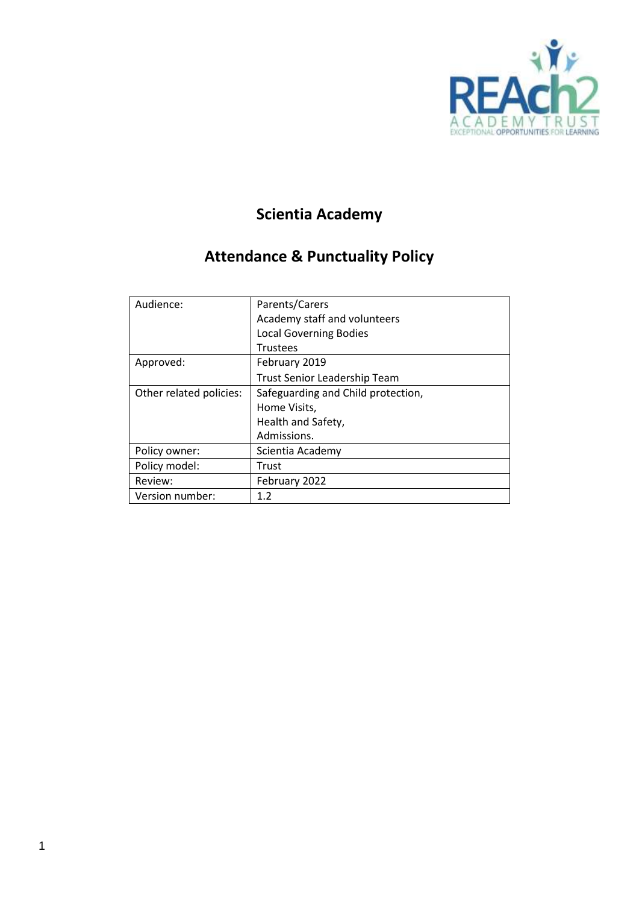

# **Scientia Academy**

# **Attendance & Punctuality Policy**

| Audience:               | Parents/Carers                     |
|-------------------------|------------------------------------|
|                         | Academy staff and volunteers       |
|                         | <b>Local Governing Bodies</b>      |
|                         | <b>Trustees</b>                    |
| Approved:               | February 2019                      |
|                         | Trust Senior Leadership Team       |
| Other related policies: | Safeguarding and Child protection, |
|                         | Home Visits,                       |
|                         | Health and Safety,                 |
|                         | Admissions.                        |
| Policy owner:           | Scientia Academy                   |
| Policy model:           | Trust                              |
| Review:                 | February 2022                      |
| Version number:         | 1.2                                |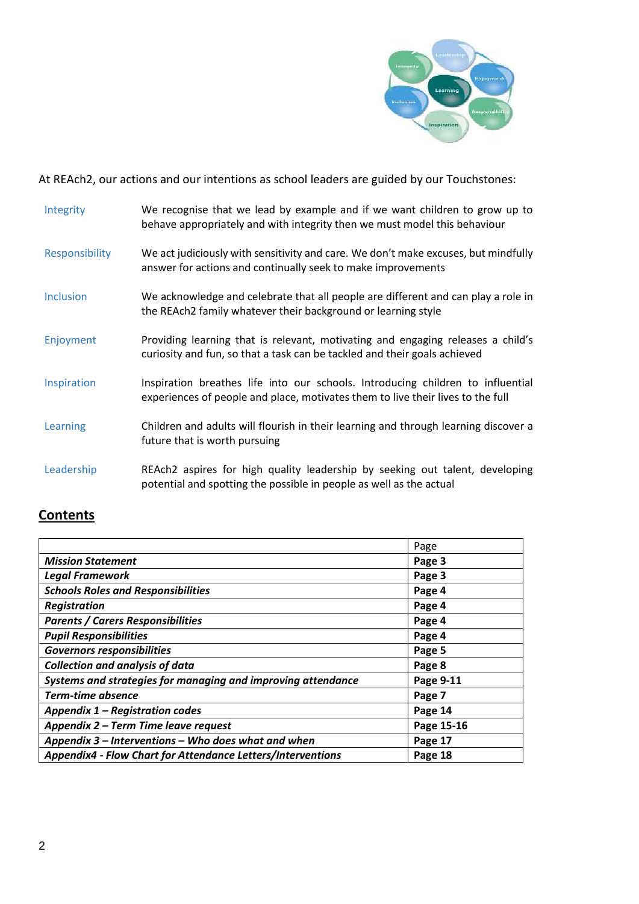

At REAch2, our actions and our intentions as school leaders are guided by our Touchstones:

| Integrity        | We recognise that we lead by example and if we want children to grow up to<br>behave appropriately and with integrity then we must model this behaviour            |
|------------------|--------------------------------------------------------------------------------------------------------------------------------------------------------------------|
| Responsibility   | We act judiciously with sensitivity and care. We don't make excuses, but mindfully<br>answer for actions and continually seek to make improvements                 |
| <b>Inclusion</b> | We acknowledge and celebrate that all people are different and can play a role in<br>the REAch2 family whatever their background or learning style                 |
| Enjoyment        | Providing learning that is relevant, motivating and engaging releases a child's<br>curiosity and fun, so that a task can be tackled and their goals achieved       |
| Inspiration      | Inspiration breathes life into our schools. Introducing children to influential<br>experiences of people and place, motivates them to live their lives to the full |
| Learning         | Children and adults will flourish in their learning and through learning discover a<br>future that is worth pursuing                                               |
| Leadership       | REAch2 aspires for high quality leadership by seeking out talent, developing<br>potential and spotting the possible in people as well as the actual                |

# **Contents**

|                                                              | Page       |
|--------------------------------------------------------------|------------|
| <b>Mission Statement</b>                                     | Page 3     |
| <b>Legal Framework</b>                                       | Page 3     |
| <b>Schools Roles and Responsibilities</b>                    | Page 4     |
| Registration                                                 | Page 4     |
| <b>Parents / Carers Responsibilities</b>                     | Page 4     |
| <b>Pupil Responsibilities</b>                                | Page 4     |
| <b>Governors responsibilities</b>                            | Page 5     |
| <b>Collection and analysis of data</b>                       | Page 8     |
| Systems and strategies for managing and improving attendance | Page 9-11  |
| <b>Term-time absence</b>                                     | Page 7     |
| Appendix 1 - Registration codes                              | Page 14    |
| Appendix 2 - Term Time leave request                         | Page 15-16 |
| Appendix 3 – Interventions – Who does what and when          | Page 17    |
| Appendix4 - Flow Chart for Attendance Letters/Interventions  | Page 18    |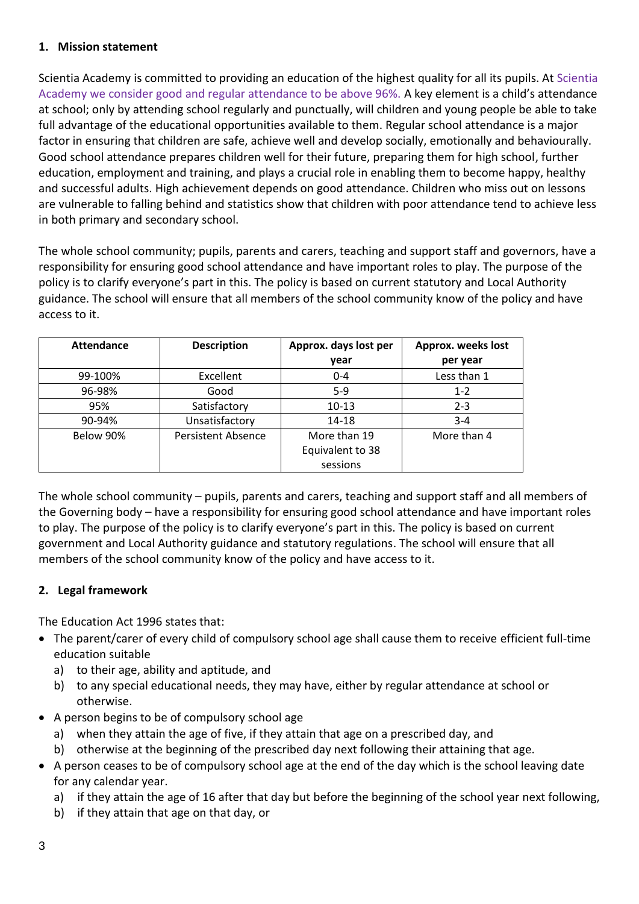#### **1. Mission statement**

Scientia Academy is committed to providing an education of the highest quality for all its pupils. At Scientia Academy we consider good and regular attendance to be above 96%. A key element is a child's attendance at school; only by attending school regularly and punctually, will children and young people be able to take full advantage of the educational opportunities available to them. Regular school attendance is a major factor in ensuring that children are safe, achieve well and develop socially, emotionally and behaviourally. Good school attendance prepares children well for their future, preparing them for high school, further education, employment and training, and plays a crucial role in enabling them to become happy, healthy and successful adults. High achievement depends on good attendance. Children who miss out on lessons are vulnerable to falling behind and statistics show that children with poor attendance tend to achieve less in both primary and secondary school.

The whole school community; pupils, parents and carers, teaching and support staff and governors, have a responsibility for ensuring good school attendance and have important roles to play. The purpose of the policy is to clarify everyone's part in this. The policy is based on current statutory and Local Authority guidance. The school will ensure that all members of the school community know of the policy and have access to it.

| Attendance | <b>Description</b>        | Approx. days lost per | Approx. weeks lost |
|------------|---------------------------|-----------------------|--------------------|
|            |                           | year                  | per year           |
| 99-100%    | Excellent                 | $0 - 4$               | Less than 1        |
| 96-98%     | Good                      | $5-9$                 | $1 - 2$            |
| 95%        | Satisfactory              | $10 - 13$             | $2 - 3$            |
| 90-94%     | Unsatisfactory            | $14 - 18$             | $3 - 4$            |
| Below 90%  | <b>Persistent Absence</b> | More than 19          | More than 4        |
|            |                           | Equivalent to 38      |                    |
|            |                           | sessions              |                    |

The whole school community – pupils, parents and carers, teaching and support staff and all members of the Governing body – have a responsibility for ensuring good school attendance and have important roles to play. The purpose of the policy is to clarify everyone's part in this. The policy is based on current government and Local Authority guidance and statutory regulations. The school will ensure that all members of the school community know of the policy and have access to it.

# **2. Legal framework**

The Education Act 1996 states that:

- The parent/carer of every child of compulsory school age shall cause them to receive efficient full-time education suitable
	- a) to their age, ability and aptitude, and
	- b) to any special educational needs, they may have, either by regular attendance at school or otherwise.
- A person begins to be of compulsory school age
	- a) when they attain the age of five, if they attain that age on a prescribed day, and
	- b) otherwise at the beginning of the prescribed day next following their attaining that age.
- A person ceases to be of compulsory school age at the end of the day which is the school leaving date for any calendar year.
	- a) if they attain the age of 16 after that day but before the beginning of the school year next following,
	- b) if they attain that age on that day, or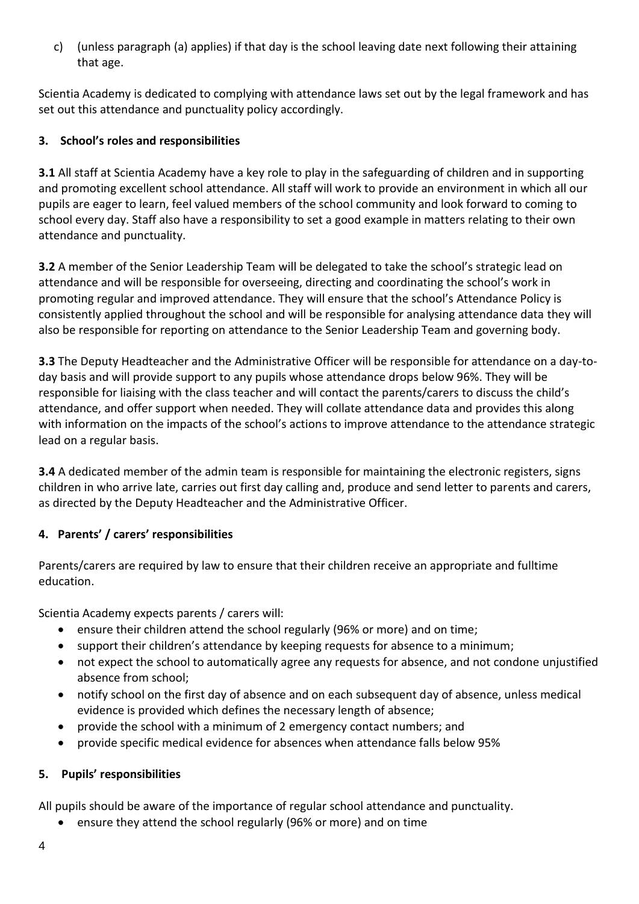c) (unless paragraph (a) applies) if that day is the school leaving date next following their attaining that age.

Scientia Academy is dedicated to complying with attendance laws set out by the legal framework and has set out this attendance and punctuality policy accordingly.

## **3. School's roles and responsibilities**

**3.1** All staff at Scientia Academy have a key role to play in the safeguarding of children and in supporting and promoting excellent school attendance. All staff will work to provide an environment in which all our pupils are eager to learn, feel valued members of the school community and look forward to coming to school every day. Staff also have a responsibility to set a good example in matters relating to their own attendance and punctuality.

**3.2** A member of the Senior Leadership Team will be delegated to take the school's strategic lead on attendance and will be responsible for overseeing, directing and coordinating the school's work in promoting regular and improved attendance. They will ensure that the school's Attendance Policy is consistently applied throughout the school and will be responsible for analysing attendance data they will also be responsible for reporting on attendance to the Senior Leadership Team and governing body.

**3.3** The Deputy Headteacher and the Administrative Officer will be responsible for attendance on a day-today basis and will provide support to any pupils whose attendance drops below 96%. They will be responsible for liaising with the class teacher and will contact the parents/carers to discuss the child's attendance, and offer support when needed. They will collate attendance data and provides this along with information on the impacts of the school's actions to improve attendance to the attendance strategic lead on a regular basis.

**3.4** A dedicated member of the admin team is responsible for maintaining the electronic registers, signs children in who arrive late, carries out first day calling and, produce and send letter to parents and carers, as directed by the Deputy Headteacher and the Administrative Officer.

# **4. Parents' / carers' responsibilities**

Parents/carers are required by law to ensure that their children receive an appropriate and fulltime education.

Scientia Academy expects parents / carers will:

- ensure their children attend the school regularly (96% or more) and on time;
- support their children's attendance by keeping requests for absence to a minimum;
- not expect the school to automatically agree any requests for absence, and not condone unjustified absence from school;
- notify school on the first day of absence and on each subsequent day of absence, unless medical evidence is provided which defines the necessary length of absence;
- provide the school with a minimum of 2 emergency contact numbers; and
- provide specific medical evidence for absences when attendance falls below 95%

#### **5. Pupils' responsibilities**

All pupils should be aware of the importance of regular school attendance and punctuality.

• ensure they attend the school regularly (96% or more) and on time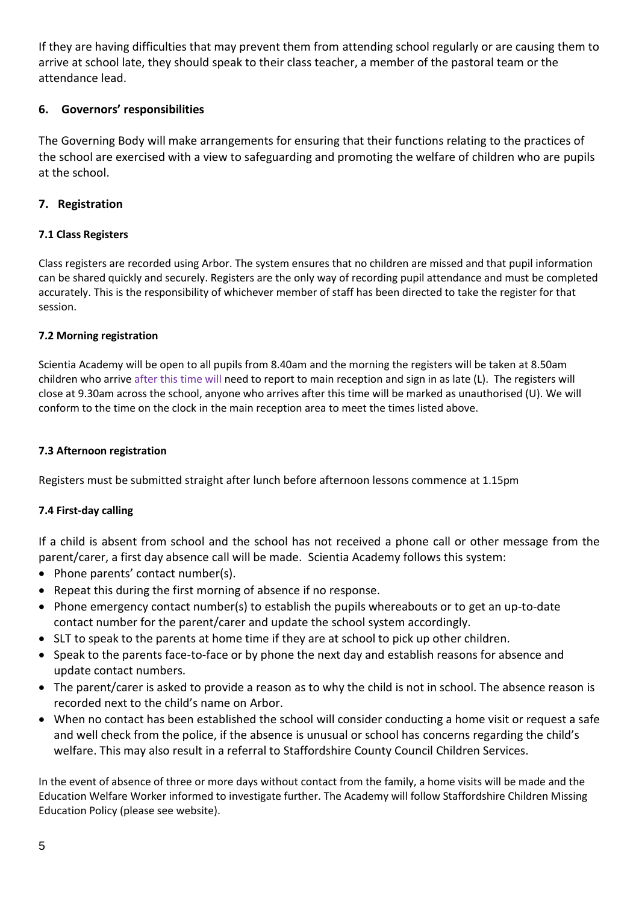If they are having difficulties that may prevent them from attending school regularly or are causing them to arrive at school late, they should speak to their class teacher, a member of the pastoral team or the attendance lead.

#### **6. Governors' responsibilities**

The Governing Body will make arrangements for ensuring that their functions relating to the practices of the school are exercised with a view to safeguarding and promoting the welfare of children who are pupils at the school.

#### **7. Registration**

### **7.1 Class Registers**

Class registers are recorded using Arbor. The system ensures that no children are missed and that pupil information can be shared quickly and securely. Registers are the only way of recording pupil attendance and must be completed accurately. This is the responsibility of whichever member of staff has been directed to take the register for that session.

#### **7.2 Morning registration**

Scientia Academy will be open to all pupils from 8.40am and the morning the registers will be taken at 8.50am children who arrive after this time will need to report to main reception and sign in as late (L). The registers will close at 9.30am across the school, anyone who arrives after this time will be marked as unauthorised (U). We will conform to the time on the clock in the main reception area to meet the times listed above.

#### **7.3 Afternoon registration**

Registers must be submitted straight after lunch before afternoon lessons commence at 1.15pm

#### **7.4 First-day calling**

If a child is absent from school and the school has not received a phone call or other message from the parent/carer, a first day absence call will be made. Scientia Academy follows this system:

- Phone parents' contact number(s).
- Repeat this during the first morning of absence if no response.
- Phone emergency contact number(s) to establish the pupils whereabouts or to get an up-to-date contact number for the parent/carer and update the school system accordingly.
- SLT to speak to the parents at home time if they are at school to pick up other children.
- Speak to the parents face-to-face or by phone the next day and establish reasons for absence and update contact numbers.
- The parent/carer is asked to provide a reason as to why the child is not in school. The absence reason is recorded next to the child's name on Arbor.
- When no contact has been established the school will consider conducting a home visit or request a safe and well check from the police, if the absence is unusual or school has concerns regarding the child's welfare. This may also result in a referral to Staffordshire County Council Children Services.

In the event of absence of three or more days without contact from the family, a home visits will be made and the Education Welfare Worker informed to investigate further. The Academy will follow Staffordshire Children Missing Education Policy (please see website).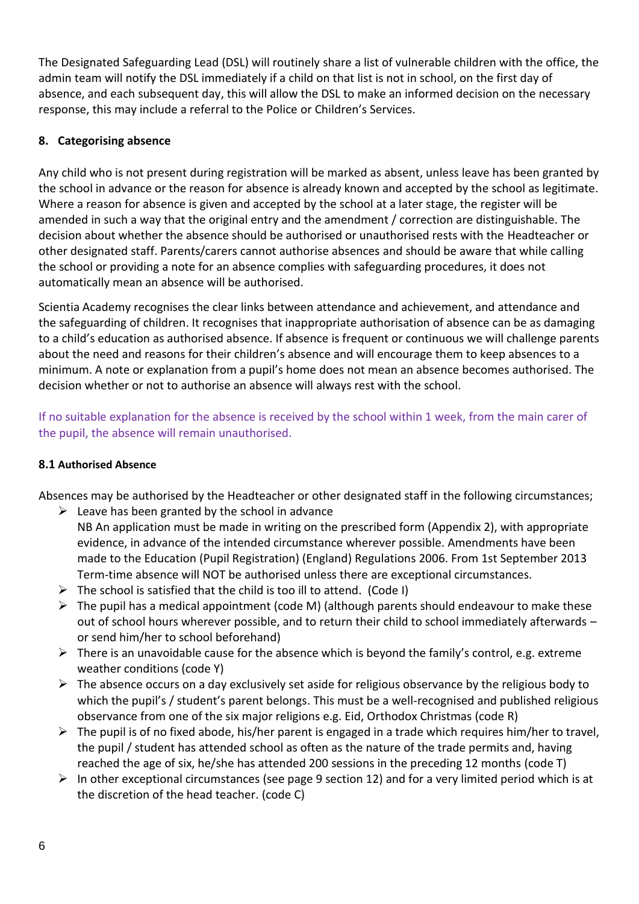The Designated Safeguarding Lead (DSL) will routinely share a list of vulnerable children with the office, the admin team will notify the DSL immediately if a child on that list is not in school, on the first day of absence, and each subsequent day, this will allow the DSL to make an informed decision on the necessary response, this may include a referral to the Police or Children's Services.

## **8. Categorising absence**

Any child who is not present during registration will be marked as absent, unless leave has been granted by the school in advance or the reason for absence is already known and accepted by the school as legitimate. Where a reason for absence is given and accepted by the school at a later stage, the register will be amended in such a way that the original entry and the amendment / correction are distinguishable. The decision about whether the absence should be authorised or unauthorised rests with the Headteacher or other designated staff. Parents/carers cannot authorise absences and should be aware that while calling the school or providing a note for an absence complies with safeguarding procedures, it does not automatically mean an absence will be authorised.

Scientia Academy recognises the clear links between attendance and achievement, and attendance and the safeguarding of children. It recognises that inappropriate authorisation of absence can be as damaging to a child's education as authorised absence. If absence is frequent or continuous we will challenge parents about the need and reasons for their children's absence and will encourage them to keep absences to a minimum. A note or explanation from a pupil's home does not mean an absence becomes authorised. The decision whether or not to authorise an absence will always rest with the school.

If no suitable explanation for the absence is received by the school within 1 week, from the main carer of the pupil, the absence will remain unauthorised.

#### **8.1 Authorised Absence**

Absences may be authorised by the Headteacher or other designated staff in the following circumstances;

- $\triangleright$  Leave has been granted by the school in advance NB An application must be made in writing on the prescribed form (Appendix 2), with appropriate evidence, in advance of the intended circumstance wherever possible. Amendments have been made to the Education (Pupil Registration) (England) Regulations 2006. From 1st September 2013 Term-time absence will NOT be authorised unless there are exceptional circumstances.
- $\triangleright$  The school is satisfied that the child is too ill to attend. (Code I)
- $\triangleright$  The pupil has a medical appointment (code M) (although parents should endeavour to make these out of school hours wherever possible, and to return their child to school immediately afterwards – or send him/her to school beforehand)
- $\triangleright$  There is an unavoidable cause for the absence which is beyond the family's control, e.g. extreme weather conditions (code Y)
- $\triangleright$  The absence occurs on a day exclusively set aside for religious observance by the religious body to which the pupil's / student's parent belongs. This must be a well-recognised and published religious observance from one of the six major religions e.g. Eid, Orthodox Christmas (code R)
- $\triangleright$  The pupil is of no fixed abode, his/her parent is engaged in a trade which requires him/her to travel, the pupil / student has attended school as often as the nature of the trade permits and, having reached the age of six, he/she has attended 200 sessions in the preceding 12 months (code T)
- $\triangleright$  In other exceptional circumstances (see page 9 section 12) and for a very limited period which is at the discretion of the head teacher. (code C)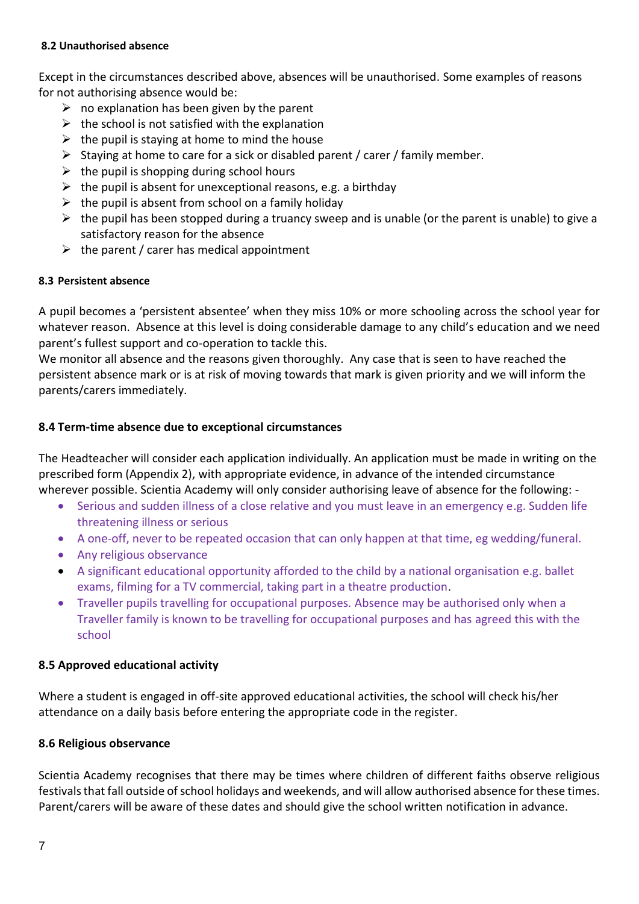#### **8.2 Unauthorised absence**

Except in the circumstances described above, absences will be unauthorised. Some examples of reasons for not authorising absence would be:

- $\triangleright$  no explanation has been given by the parent
- $\triangleright$  the school is not satisfied with the explanation
- $\triangleright$  the pupil is staying at home to mind the house
- ➢ Staying at home to care for a sick or disabled parent / carer / family member.
- $\triangleright$  the pupil is shopping during school hours
- $\triangleright$  the pupil is absent for unexceptional reasons, e.g. a birthday
- $\triangleright$  the pupil is absent from school on a family holiday
- $\triangleright$  the pupil has been stopped during a truancy sweep and is unable (or the parent is unable) to give a satisfactory reason for the absence
- $\triangleright$  the parent / carer has medical appointment

#### **8.3 Persistent absence**

A pupil becomes a 'persistent absentee' when they miss 10% or more schooling across the school year for whatever reason. Absence at this level is doing considerable damage to any child's education and we need parent's fullest support and co-operation to tackle this.

We monitor all absence and the reasons given thoroughly. Any case that is seen to have reached the persistent absence mark or is at risk of moving towards that mark is given priority and we will inform the parents/carers immediately.

#### **8.4 Term-time absence due to exceptional circumstances**

The Headteacher will consider each application individually. An application must be made in writing on the prescribed form (Appendix 2), with appropriate evidence, in advance of the intended circumstance wherever possible. Scientia Academy will only consider authorising leave of absence for the following: -

- Serious and sudden illness of a close relative and you must leave in an emergency e.g. Sudden life threatening illness or serious
- A one-off, never to be repeated occasion that can only happen at that time, eg wedding/funeral.
- Any religious observance
- A significant educational opportunity afforded to the child by a national organisation e.g. ballet exams, filming for a TV commercial, taking part in a theatre production.
- Traveller pupils travelling for occupational purposes*.* Absence may be authorised only when a Traveller family is known to be travelling for occupational purposes and has agreed this with the school

#### **8.5 Approved educational activity**

Where a student is engaged in off-site approved educational activities, the school will check his/her attendance on a daily basis before entering the appropriate code in the register.

#### **8.6 Religious observance**

Scientia Academy recognises that there may be times where children of different faiths observe religious festivals that fall outside of school holidays and weekends, and will allow authorised absence for these times. Parent/carers will be aware of these dates and should give the school written notification in advance.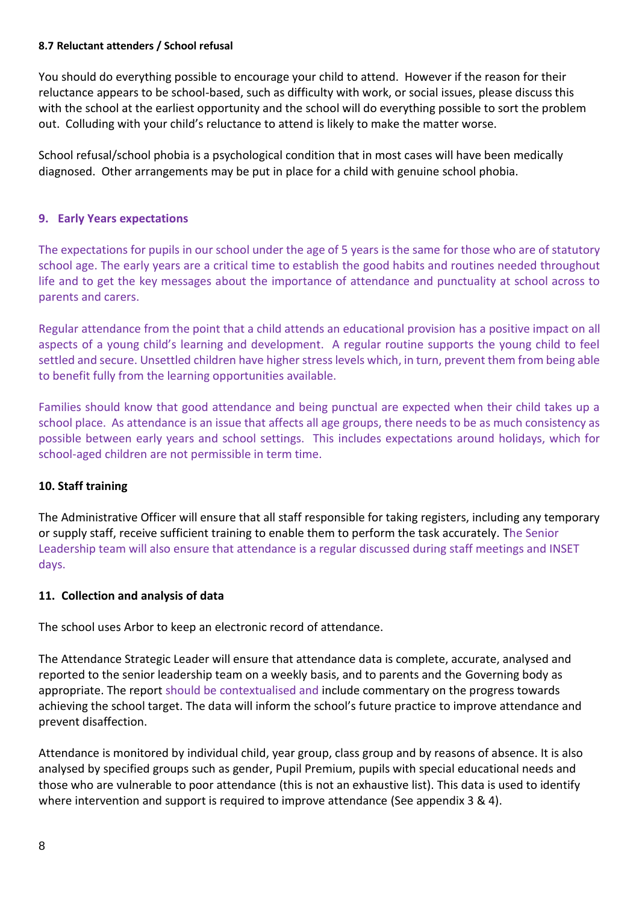#### **8.7 Reluctant attenders / School refusal**

You should do everything possible to encourage your child to attend. However if the reason for their reluctance appears to be school-based, such as difficulty with work, or social issues, please discuss this with the school at the earliest opportunity and the school will do everything possible to sort the problem out. Colluding with your child's reluctance to attend is likely to make the matter worse.

School refusal/school phobia is a psychological condition that in most cases will have been medically diagnosed. Other arrangements may be put in place for a child with genuine school phobia.

#### **9. Early Years expectations**

The expectations for pupils in our school under the age of 5 years is the same for those who are of statutory school age. The early years are a critical time to establish the good habits and routines needed throughout life and to get the key messages about the importance of attendance and punctuality at school across to parents and carers.

Regular attendance from the point that a child attends an educational provision has a positive impact on all aspects of a young child's learning and development. A regular routine supports the young child to feel settled and secure. Unsettled children have higher stress levels which, in turn, prevent them from being able to benefit fully from the learning opportunities available.

Families should know that good attendance and being punctual are expected when their child takes up a school place. As attendance is an issue that affects all age groups, there needs to be as much consistency as possible between early years and school settings. This includes expectations around holidays, which for school-aged children are not permissible in term time.

#### **10. Staff training**

The Administrative Officer will ensure that all staff responsible for taking registers, including any temporary or supply staff, receive sufficient training to enable them to perform the task accurately. The Senior Leadership team will also ensure that attendance is a regular discussed during staff meetings and INSET days.

#### **11. Collection and analysis of data**

The school uses Arbor to keep an electronic record of attendance.

The Attendance Strategic Leader will ensure that attendance data is complete, accurate, analysed and reported to the senior leadership team on a weekly basis, and to parents and the Governing body as appropriate. The report should be contextualised and include commentary on the progress towards achieving the school target. The data will inform the school's future practice to improve attendance and prevent disaffection.

Attendance is monitored by individual child, year group, class group and by reasons of absence. It is also analysed by specified groups such as gender, Pupil Premium, pupils with special educational needs and those who are vulnerable to poor attendance (this is not an exhaustive list). This data is used to identify where intervention and support is required to improve attendance (See appendix 3 & 4).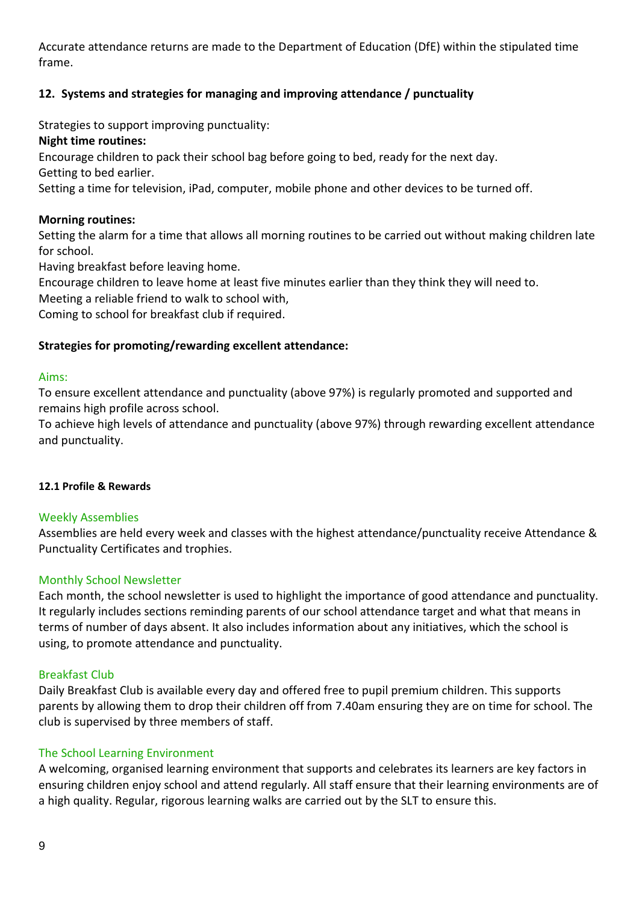Accurate attendance returns are made to the Department of Education (DfE) within the stipulated time frame.

# **12. Systems and strategies for managing and improving attendance / punctuality**

Strategies to support improving punctuality:

#### **Night time routines:**

Encourage children to pack their school bag before going to bed, ready for the next day.

Getting to bed earlier.

Setting a time for television, iPad, computer, mobile phone and other devices to be turned off.

#### **Morning routines:**

Setting the alarm for a time that allows all morning routines to be carried out without making children late for school.

Having breakfast before leaving home.

Encourage children to leave home at least five minutes earlier than they think they will need to.

Meeting a reliable friend to walk to school with,

Coming to school for breakfast club if required.

#### **Strategies for promoting/rewarding excellent attendance:**

#### Aims:

To ensure excellent attendance and punctuality (above 97%) is regularly promoted and supported and remains high profile across school.

To achieve high levels of attendance and punctuality (above 97%) through rewarding excellent attendance and punctuality.

#### **12.1 Profile & Rewards**

#### Weekly Assemblies

Assemblies are held every week and classes with the highest attendance/punctuality receive Attendance & Punctuality Certificates and trophies.

#### Monthly School Newsletter

Each month, the school newsletter is used to highlight the importance of good attendance and punctuality. It regularly includes sections reminding parents of our school attendance target and what that means in terms of number of days absent. It also includes information about any initiatives, which the school is using, to promote attendance and punctuality.

#### Breakfast Club

Daily Breakfast Club is available every day and offered free to pupil premium children. This supports parents by allowing them to drop their children off from 7.40am ensuring they are on time for school. The club is supervised by three members of staff.

#### The School Learning Environment

A welcoming, organised learning environment that supports and celebrates its learners are key factors in ensuring children enjoy school and attend regularly. All staff ensure that their learning environments are of a high quality. Regular, rigorous learning walks are carried out by the SLT to ensure this.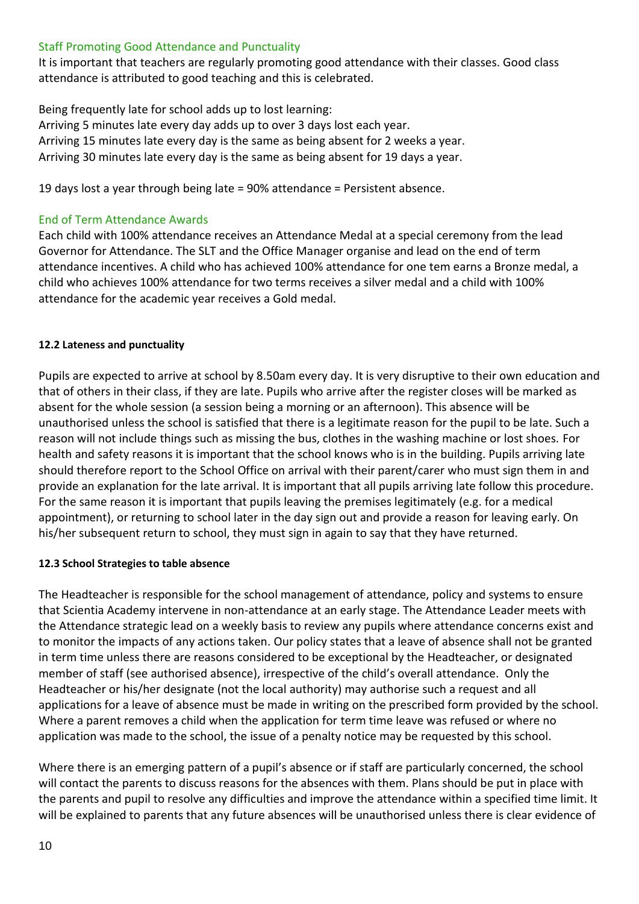#### Staff Promoting Good Attendance and Punctuality

It is important that teachers are regularly promoting good attendance with their classes. Good class attendance is attributed to good teaching and this is celebrated.

Being frequently late for school adds up to lost learning: Arriving 5 minutes late every day adds up to over 3 days lost each year. Arriving 15 minutes late every day is the same as being absent for 2 weeks a year. Arriving 30 minutes late every day is the same as being absent for 19 days a year.

19 days lost a year through being late = 90% attendance = Persistent absence.

#### End of Term Attendance Awards

Each child with 100% attendance receives an Attendance Medal at a special ceremony from the lead Governor for Attendance. The SLT and the Office Manager organise and lead on the end of term attendance incentives. A child who has achieved 100% attendance for one tem earns a Bronze medal, a child who achieves 100% attendance for two terms receives a silver medal and a child with 100% attendance for the academic year receives a Gold medal.

#### **12.2 Lateness and punctuality**

Pupils are expected to arrive at school by 8.50am every day. It is very disruptive to their own education and that of others in their class, if they are late. Pupils who arrive after the register closes will be marked as absent for the whole session (a session being a morning or an afternoon). This absence will be unauthorised unless the school is satisfied that there is a legitimate reason for the pupil to be late. Such a reason will not include things such as missing the bus, clothes in the washing machine or lost shoes. For health and safety reasons it is important that the school knows who is in the building. Pupils arriving late should therefore report to the School Office on arrival with their parent/carer who must sign them in and provide an explanation for the late arrival. It is important that all pupils arriving late follow this procedure. For the same reason it is important that pupils leaving the premises legitimately (e.g. for a medical appointment), or returning to school later in the day sign out and provide a reason for leaving early. On his/her subsequent return to school, they must sign in again to say that they have returned.

#### **12.3 School Strategies to table absence**

The Headteacher is responsible for the school management of attendance, policy and systems to ensure that Scientia Academy intervene in non-attendance at an early stage. The Attendance Leader meets with the Attendance strategic lead on a weekly basis to review any pupils where attendance concerns exist and to monitor the impacts of any actions taken. Our policy states that a leave of absence shall not be granted in term time unless there are reasons considered to be exceptional by the Headteacher, or designated member of staff (see authorised absence), irrespective of the child's overall attendance. Only the Headteacher or his/her designate (not the local authority) may authorise such a request and all applications for a leave of absence must be made in writing on the prescribed form provided by the school. Where a parent removes a child when the application for term time leave was refused or where no application was made to the school, the issue of a penalty notice may be requested by this school.

Where there is an emerging pattern of a pupil's absence or if staff are particularly concerned, the school will contact the parents to discuss reasons for the absences with them. Plans should be put in place with the parents and pupil to resolve any difficulties and improve the attendance within a specified time limit. It will be explained to parents that any future absences will be unauthorised unless there is clear evidence of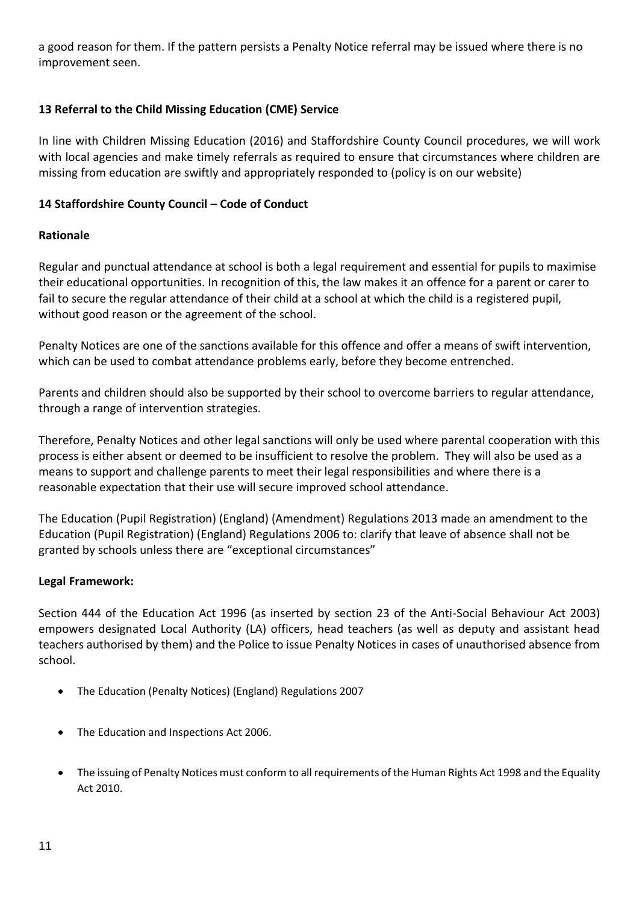a good reason for them. If the pattern persists a Penalty Notice referral may be issued where there is no improvement seen.

# **13 Referral to the Child Missing Education (CME) Service**

In line with Children Missing Education (2016) and Staffordshire County Council procedures, we will work with local agencies and make timely referrals as required to ensure that circumstances where children are missing from education are swiftly and appropriately responded to (policy is on our website)

# **14 Staffordshire County Council – Code of Conduct**

# **Rationale**

Regular and punctual attendance at school is both a legal requirement and essential for pupils to maximise their educational opportunities. In recognition of this, the law makes it an offence for a parent or carer to fail to secure the regular attendance of their child at a school at which the child is a registered pupil, without good reason or the agreement of the school.

Penalty Notices are one of the sanctions available for this offence and offer a means of swift intervention, which can be used to combat attendance problems early, before they become entrenched.

Parents and children should also be supported by their school to overcome barriers to regular attendance, through a range of intervention strategies.

Therefore, Penalty Notices and other legal sanctions will only be used where parental cooperation with this process is either absent or deemed to be insufficient to resolve the problem. They will also be used as a means to support and challenge parents to meet their legal responsibilities and where there is a reasonable expectation that their use will secure improved school attendance.

The Education (Pupil Registration) (England) (Amendment) Regulations 2013 made an amendment to the Education (Pupil Registration) (England) Regulations 2006 to: clarify that leave of absence shall not be granted by schools unless there are "exceptional circumstances"

# **Legal Framework:**

Section 444 of the Education Act 1996 (as inserted by section 23 of the Anti-Social Behaviour Act 2003) empowers designated Local Authority (LA) officers, head teachers (as well as deputy and assistant head teachers authorised by them) and the Police to issue Penalty Notices in cases of unauthorised absence from school.

- The Education (Penalty Notices) (England) Regulations 2007
- The Education and Inspections Act 2006.
- The issuing of Penalty Notices must conform to all requirements of the Human Rights Act 1998 and the Equality Act 2010.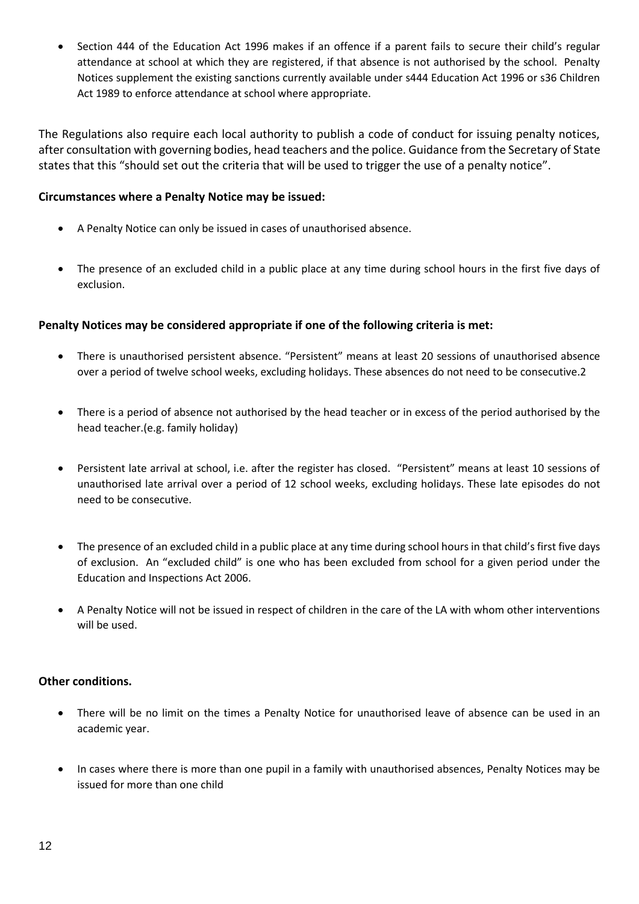• Section 444 of the Education Act 1996 makes if an offence if a parent fails to secure their child's regular attendance at school at which they are registered, if that absence is not authorised by the school. Penalty Notices supplement the existing sanctions currently available under s444 Education Act 1996 or s36 Children Act 1989 to enforce attendance at school where appropriate.

The Regulations also require each local authority to publish a code of conduct for issuing penalty notices, after consultation with governing bodies, head teachers and the police. Guidance from the Secretary of State states that this "should set out the criteria that will be used to trigger the use of a penalty notice".

#### **Circumstances where a Penalty Notice may be issued:**

- A Penalty Notice can only be issued in cases of unauthorised absence.
- The presence of an excluded child in a public place at any time during school hours in the first five days of exclusion.

#### **Penalty Notices may be considered appropriate if one of the following criteria is met:**

- There is unauthorised persistent absence. "Persistent" means at least 20 sessions of unauthorised absence over a period of twelve school weeks, excluding holidays. These absences do not need to be consecutive.2
- There is a period of absence not authorised by the head teacher or in excess of the period authorised by the head teacher.(e.g. family holiday)
- Persistent late arrival at school, i.e. after the register has closed. "Persistent" means at least 10 sessions of unauthorised late arrival over a period of 12 school weeks, excluding holidays. These late episodes do not need to be consecutive.
- The presence of an excluded child in a public place at any time during school hours in that child's first five days of exclusion. An "excluded child" is one who has been excluded from school for a given period under the Education and Inspections Act 2006.
- A Penalty Notice will not be issued in respect of children in the care of the LA with whom other interventions will be used.

#### **Other conditions.**

- There will be no limit on the times a Penalty Notice for unauthorised leave of absence can be used in an academic year.
- In cases where there is more than one pupil in a family with unauthorised absences, Penalty Notices may be issued for more than one child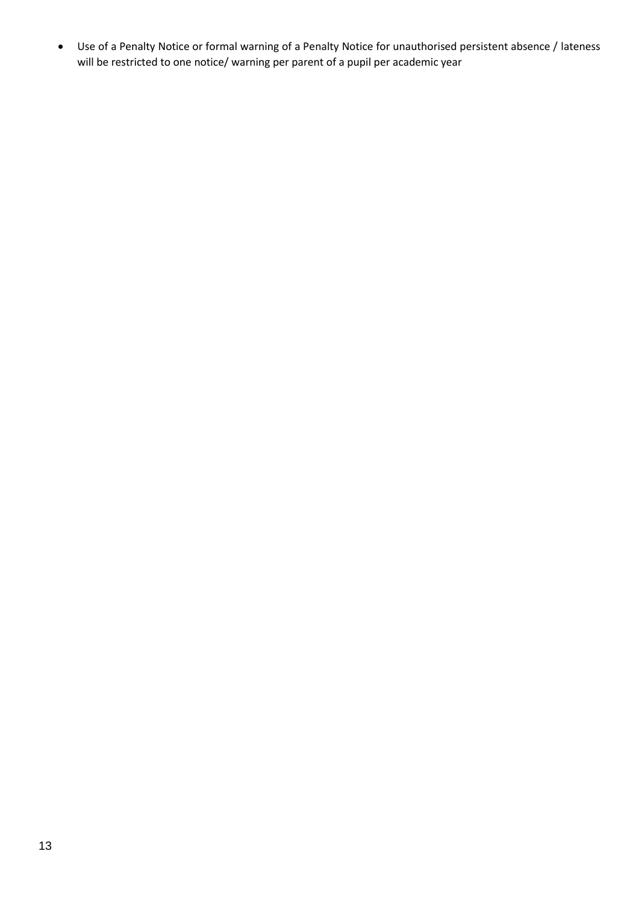• Use of a Penalty Notice or formal warning of a Penalty Notice for unauthorised persistent absence / lateness will be restricted to one notice/ warning per parent of a pupil per academic year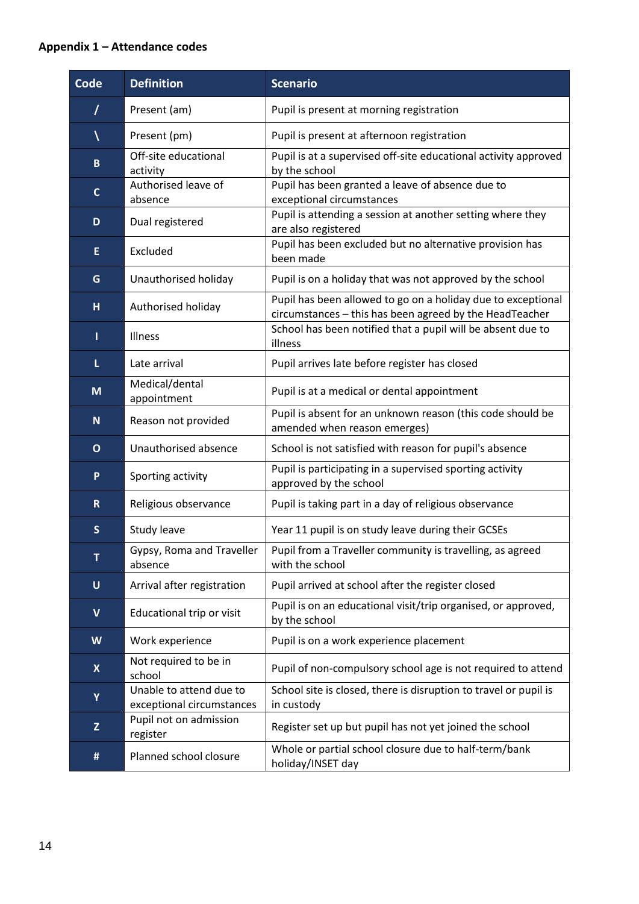# **Appendix 1 – Attendance codes**

| Code         | <b>Definition</b>                                    | <b>Scenario</b>                                                                                                         |
|--------------|------------------------------------------------------|-------------------------------------------------------------------------------------------------------------------------|
| $\prime$     | Present (am)                                         | Pupil is present at morning registration                                                                                |
|              | Present (pm)                                         | Pupil is present at afternoon registration                                                                              |
| $\mathbf{B}$ | Off-site educational<br>activity                     | Pupil is at a supervised off-site educational activity approved<br>by the school                                        |
| $\mathbf{C}$ | Authorised leave of<br>absence                       | Pupil has been granted a leave of absence due to<br>exceptional circumstances                                           |
| D            | Dual registered                                      | Pupil is attending a session at another setting where they<br>are also registered                                       |
| E.           | Excluded                                             | Pupil has been excluded but no alternative provision has<br>been made                                                   |
| G            | Unauthorised holiday                                 | Pupil is on a holiday that was not approved by the school                                                               |
| H.           | Authorised holiday                                   | Pupil has been allowed to go on a holiday due to exceptional<br>circumstances - this has been agreed by the HeadTeacher |
| т            | Illness                                              | School has been notified that a pupil will be absent due to<br>illness                                                  |
| L.           | Late arrival                                         | Pupil arrives late before register has closed                                                                           |
| M            | Medical/dental<br>appointment                        | Pupil is at a medical or dental appointment                                                                             |
| $\mathbf N$  | Reason not provided                                  | Pupil is absent for an unknown reason (this code should be<br>amended when reason emerges)                              |
| $\mathbf{O}$ | Unauthorised absence                                 | School is not satisfied with reason for pupil's absence                                                                 |
| P.           | Sporting activity                                    | Pupil is participating in a supervised sporting activity<br>approved by the school                                      |
| $\mathbf{R}$ | Religious observance                                 | Pupil is taking part in a day of religious observance                                                                   |
| $\mathsf{s}$ | Study leave                                          | Year 11 pupil is on study leave during their GCSEs                                                                      |
| T            | Gypsy, Roma and Traveller<br>absence                 | Pupil from a Traveller community is travelling, as agreed<br>with the school                                            |
| U            | Arrival after registration                           | Pupil arrived at school after the register closed                                                                       |
| $\mathbf v$  | Educational trip or visit                            | Pupil is on an educational visit/trip organised, or approved,<br>by the school                                          |
| W            | Work experience                                      | Pupil is on a work experience placement                                                                                 |
| $\mathsf{X}$ | Not required to be in<br>school                      | Pupil of non-compulsory school age is not required to attend                                                            |
| Y            | Unable to attend due to<br>exceptional circumstances | School site is closed, there is disruption to travel or pupil is<br>in custody                                          |
| $\mathsf{Z}$ | Pupil not on admission<br>register                   | Register set up but pupil has not yet joined the school                                                                 |
| #            | Planned school closure                               | Whole or partial school closure due to half-term/bank<br>holiday/INSET day                                              |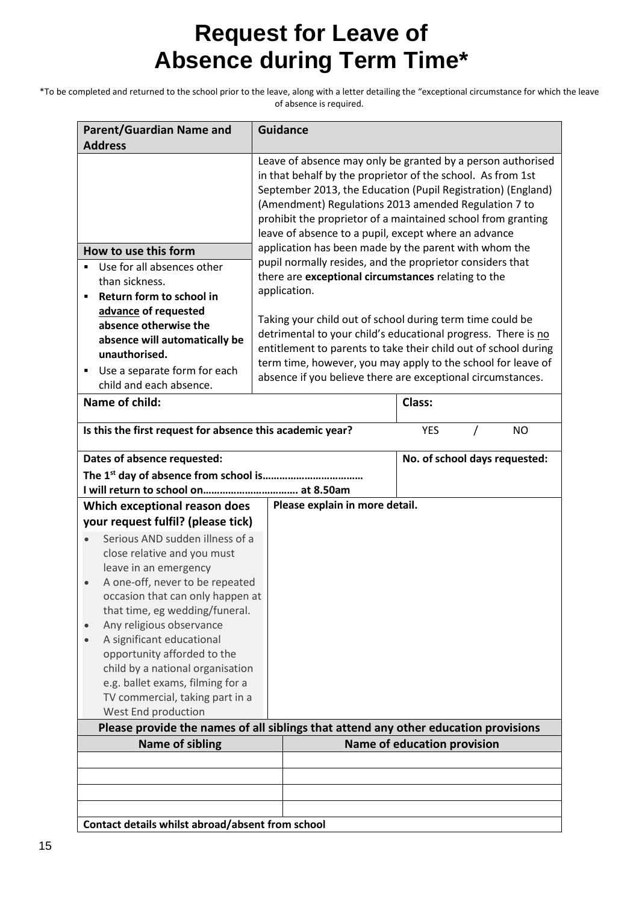# **Request for Leave of Absence during Term Time\***

\*To be completed and returned to the school prior to the leave, along with a letter detailing the "exceptional circumstance for which the leave of absence is required.

| <b>Parent/Guardian Name and</b><br><b>Address</b>                                                                                                                                                                                                                                                                                                                                                                                                                                                                                           | <b>Guidance</b>                                                                                                                                                                                                                                                                                                                                                                                                                                                                                                                                                         |                               |  |
|---------------------------------------------------------------------------------------------------------------------------------------------------------------------------------------------------------------------------------------------------------------------------------------------------------------------------------------------------------------------------------------------------------------------------------------------------------------------------------------------------------------------------------------------|-------------------------------------------------------------------------------------------------------------------------------------------------------------------------------------------------------------------------------------------------------------------------------------------------------------------------------------------------------------------------------------------------------------------------------------------------------------------------------------------------------------------------------------------------------------------------|-------------------------------|--|
| How to use this form<br>Use for all absences other<br>than sickness.<br>Return form to school in<br>Ξ                                                                                                                                                                                                                                                                                                                                                                                                                                       | Leave of absence may only be granted by a person authorised<br>in that behalf by the proprietor of the school. As from 1st<br>September 2013, the Education (Pupil Registration) (England)<br>(Amendment) Regulations 2013 amended Regulation 7 to<br>prohibit the proprietor of a maintained school from granting<br>leave of absence to a pupil, except where an advance<br>application has been made by the parent with whom the<br>pupil normally resides, and the proprietor considers that<br>there are exceptional circumstances relating to the<br>application. |                               |  |
| advance of requested<br>absence otherwise the<br>absence will automatically be<br>unauthorised.<br>Use a separate form for each<br>٠<br>child and each absence.                                                                                                                                                                                                                                                                                                                                                                             | Taking your child out of school during term time could be<br>detrimental to your child's educational progress. There is no<br>entitlement to parents to take their child out of school during<br>term time, however, you may apply to the school for leave of<br>absence if you believe there are exceptional circumstances.                                                                                                                                                                                                                                            |                               |  |
| Name of child:                                                                                                                                                                                                                                                                                                                                                                                                                                                                                                                              |                                                                                                                                                                                                                                                                                                                                                                                                                                                                                                                                                                         | Class:                        |  |
| Is this the first request for absence this academic year?                                                                                                                                                                                                                                                                                                                                                                                                                                                                                   |                                                                                                                                                                                                                                                                                                                                                                                                                                                                                                                                                                         | <b>YES</b><br><b>NO</b><br>7  |  |
| Dates of absence requested:                                                                                                                                                                                                                                                                                                                                                                                                                                                                                                                 |                                                                                                                                                                                                                                                                                                                                                                                                                                                                                                                                                                         | No. of school days requested: |  |
| Which exceptional reason does<br>your request fulfil? (please tick)                                                                                                                                                                                                                                                                                                                                                                                                                                                                         | Please explain in more detail.                                                                                                                                                                                                                                                                                                                                                                                                                                                                                                                                          |                               |  |
| Serious AND sudden illness of a<br>close relative and you must<br>leave in an emergency<br>A one-off, never to be repeated<br>occasion that can only happen at<br>that time, eg wedding/funeral.<br>Any religious observance<br>A significant educational<br>opportunity afforded to the<br>child by a national organisation<br>e.g. ballet exams, filming for a<br>TV commercial, taking part in a<br>West End production<br>Please provide the names of all siblings that attend any other education provisions<br><b>Name of sibling</b> |                                                                                                                                                                                                                                                                                                                                                                                                                                                                                                                                                                         | Name of education provision   |  |
|                                                                                                                                                                                                                                                                                                                                                                                                                                                                                                                                             |                                                                                                                                                                                                                                                                                                                                                                                                                                                                                                                                                                         |                               |  |
|                                                                                                                                                                                                                                                                                                                                                                                                                                                                                                                                             |                                                                                                                                                                                                                                                                                                                                                                                                                                                                                                                                                                         |                               |  |
| Contact details whilst abroad/absent from school                                                                                                                                                                                                                                                                                                                                                                                                                                                                                            |                                                                                                                                                                                                                                                                                                                                                                                                                                                                                                                                                                         |                               |  |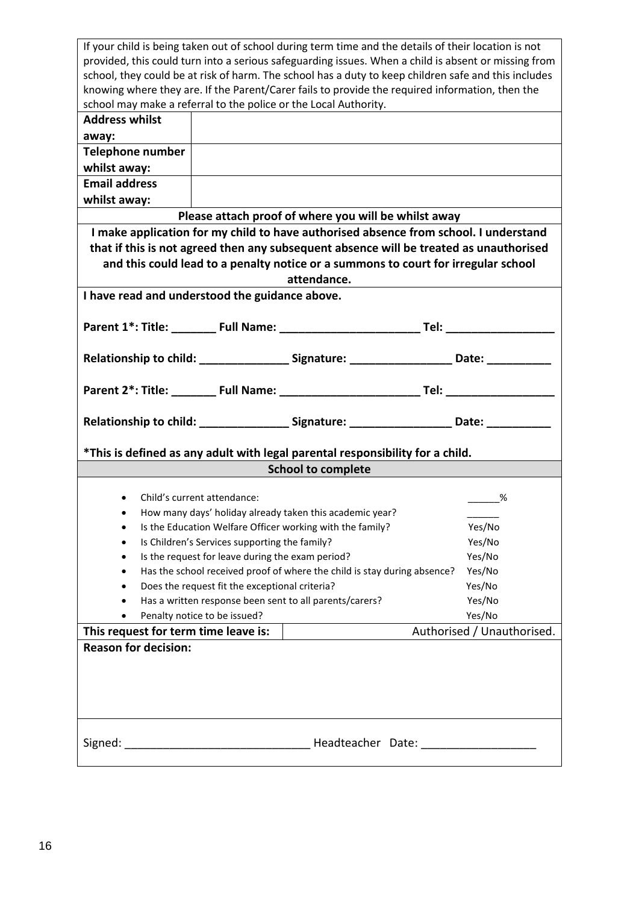|                                                                                                      | If your child is being taken out of school during term time and the details of their location is not |                                                                                                     |                            |  |
|------------------------------------------------------------------------------------------------------|------------------------------------------------------------------------------------------------------|-----------------------------------------------------------------------------------------------------|----------------------------|--|
| provided, this could turn into a serious safeguarding issues. When a child is absent or missing from |                                                                                                      |                                                                                                     |                            |  |
| school, they could be at risk of harm. The school has a duty to keep children safe and this includes |                                                                                                      |                                                                                                     |                            |  |
| knowing where they are. If the Parent/Carer fails to provide the required information, then the      |                                                                                                      |                                                                                                     |                            |  |
| school may make a referral to the police or the Local Authority.                                     |                                                                                                      |                                                                                                     |                            |  |
| <b>Address whilst</b>                                                                                |                                                                                                      |                                                                                                     |                            |  |
| away:                                                                                                |                                                                                                      |                                                                                                     |                            |  |
| Telephone number                                                                                     |                                                                                                      |                                                                                                     |                            |  |
| whilst away:                                                                                         |                                                                                                      |                                                                                                     |                            |  |
| <b>Email address</b>                                                                                 |                                                                                                      |                                                                                                     |                            |  |
| whilst away:                                                                                         |                                                                                                      |                                                                                                     |                            |  |
|                                                                                                      |                                                                                                      | Please attach proof of where you will be whilst away                                                |                            |  |
|                                                                                                      |                                                                                                      | I make application for my child to have authorised absence from school. I understand                |                            |  |
|                                                                                                      |                                                                                                      | that if this is not agreed then any subsequent absence will be treated as unauthorised              |                            |  |
|                                                                                                      |                                                                                                      | and this could lead to a penalty notice or a summons to court for irregular school                  |                            |  |
|                                                                                                      |                                                                                                      | attendance.                                                                                         |                            |  |
| I have read and understood the guidance above.                                                       |                                                                                                      |                                                                                                     |                            |  |
|                                                                                                      |                                                                                                      |                                                                                                     |                            |  |
|                                                                                                      |                                                                                                      |                                                                                                     |                            |  |
|                                                                                                      |                                                                                                      |                                                                                                     |                            |  |
|                                                                                                      |                                                                                                      | Relationship to child: _________________Signature: _____________________Date: ____________          |                            |  |
|                                                                                                      |                                                                                                      |                                                                                                     |                            |  |
|                                                                                                      |                                                                                                      |                                                                                                     |                            |  |
|                                                                                                      |                                                                                                      |                                                                                                     |                            |  |
|                                                                                                      |                                                                                                      |                                                                                                     |                            |  |
|                                                                                                      |                                                                                                      |                                                                                                     |                            |  |
|                                                                                                      |                                                                                                      | Relationship to child: __________________Signature: ______________________Date: ___________________ |                            |  |
|                                                                                                      |                                                                                                      | *This is defined as any adult with legal parental responsibility for a child.                       |                            |  |
|                                                                                                      |                                                                                                      | <b>School to complete</b>                                                                           |                            |  |
|                                                                                                      |                                                                                                      |                                                                                                     |                            |  |
| $\bullet$                                                                                            | Child's current attendance:                                                                          |                                                                                                     | %                          |  |
| $\bullet$                                                                                            |                                                                                                      | How many days' holiday already taken this academic year?                                            |                            |  |
|                                                                                                      |                                                                                                      | Is the Education Welfare Officer working with the family?                                           | Yes/No                     |  |
|                                                                                                      | Is Children's Services supporting the family?                                                        |                                                                                                     | Yes/No                     |  |
| $\bullet$                                                                                            | Is the request for leave during the exam period?                                                     |                                                                                                     | Yes/No                     |  |
| $\bullet$                                                                                            |                                                                                                      | Has the school received proof of where the child is stay during absence?                            | Yes/No                     |  |
|                                                                                                      | Does the request fit the exceptional criteria?                                                       |                                                                                                     | Yes/No                     |  |
|                                                                                                      |                                                                                                      | Has a written response been sent to all parents/carers?                                             | Yes/No                     |  |
|                                                                                                      | Penalty notice to be issued?                                                                         |                                                                                                     | Yes/No                     |  |
| This request for term time leave is:                                                                 |                                                                                                      |                                                                                                     | Authorised / Unauthorised. |  |
| <b>Reason for decision:</b>                                                                          |                                                                                                      |                                                                                                     |                            |  |
|                                                                                                      |                                                                                                      |                                                                                                     |                            |  |
|                                                                                                      |                                                                                                      |                                                                                                     |                            |  |
|                                                                                                      |                                                                                                      |                                                                                                     |                            |  |
|                                                                                                      |                                                                                                      |                                                                                                     |                            |  |
|                                                                                                      |                                                                                                      |                                                                                                     |                            |  |
|                                                                                                      |                                                                                                      |                                                                                                     |                            |  |
|                                                                                                      |                                                                                                      |                                                                                                     |                            |  |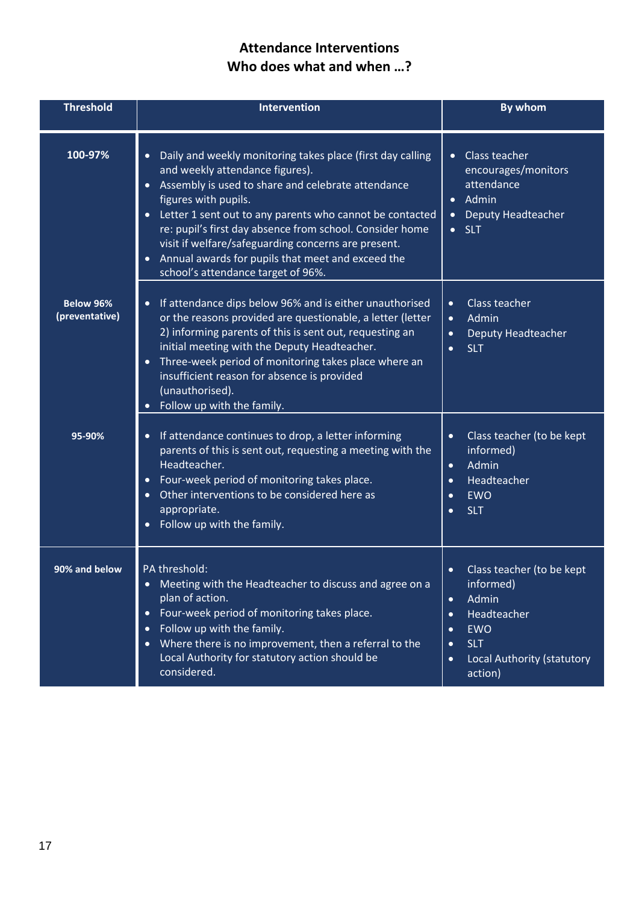# **Attendance Interventions Who does what and when …?**

| <b>Threshold</b>                   | <b>Intervention</b>                                                                                                                                                                                                                                                                                                                                                                                                                                                                            | <b>By whom</b>                                                                                                                                                                                                    |
|------------------------------------|------------------------------------------------------------------------------------------------------------------------------------------------------------------------------------------------------------------------------------------------------------------------------------------------------------------------------------------------------------------------------------------------------------------------------------------------------------------------------------------------|-------------------------------------------------------------------------------------------------------------------------------------------------------------------------------------------------------------------|
| 100-97%                            | Daily and weekly monitoring takes place (first day calling<br>$\bullet$<br>and weekly attendance figures).<br>Assembly is used to share and celebrate attendance<br>$\bullet$<br>figures with pupils.<br>• Letter 1 sent out to any parents who cannot be contacted<br>re: pupil's first day absence from school. Consider home<br>visit if welfare/safeguarding concerns are present.<br>Annual awards for pupils that meet and exceed the<br>$\bullet$<br>school's attendance target of 96%. | Class teacher<br>$\bullet$<br>encourages/monitors<br>attendance<br>Admin<br>$\bullet$<br>Deputy Headteacher<br>$\bullet$<br>$\bullet$ SLT                                                                         |
| <b>Below 96%</b><br>(preventative) | If attendance dips below 96% and is either unauthorised<br>$\bullet$<br>or the reasons provided are questionable, a letter (letter<br>2) informing parents of this is sent out, requesting an<br>initial meeting with the Deputy Headteacher.<br>Three-week period of monitoring takes place where an<br>$\bullet$<br>insufficient reason for absence is provided<br>(unauthorised).<br>Follow up with the family.                                                                             | Class teacher<br>$\bullet$<br>Admin<br>$\bullet$<br>Deputy Headteacher<br>$\bullet$<br><b>SLT</b><br>$\bullet$                                                                                                    |
| 95-90%                             | If attendance continues to drop, a letter informing<br>$\bullet$<br>parents of this is sent out, requesting a meeting with the<br>Headteacher.<br>Four-week period of monitoring takes place.<br>Other interventions to be considered here as<br>appropriate.<br>Follow up with the family.                                                                                                                                                                                                    | Class teacher (to be kept<br>$\bullet$<br>informed)<br>Admin<br>$\bullet$<br>Headteacher<br>$\bullet$<br><b>EWO</b><br>$\bullet$<br><b>SLT</b><br>$\bullet$                                                       |
| 90% and below                      | PA threshold:<br>Meeting with the Headteacher to discuss and agree on a<br>plan of action.<br>Four-week period of monitoring takes place.<br>$\bullet$<br>Follow up with the family.<br>$\bullet$<br>Where there is no improvement, then a referral to the<br>$\bullet$<br>Local Authority for statutory action should be<br>considered.                                                                                                                                                       | Class teacher (to be kept<br>$\bullet$<br>informed)<br>Admin<br>$\bullet$<br>Headteacher<br>$\bullet$<br><b>EWO</b><br>$\bullet$<br><b>SLT</b><br>$\bullet$<br>Local Authority (statutory<br>$\bullet$<br>action) |